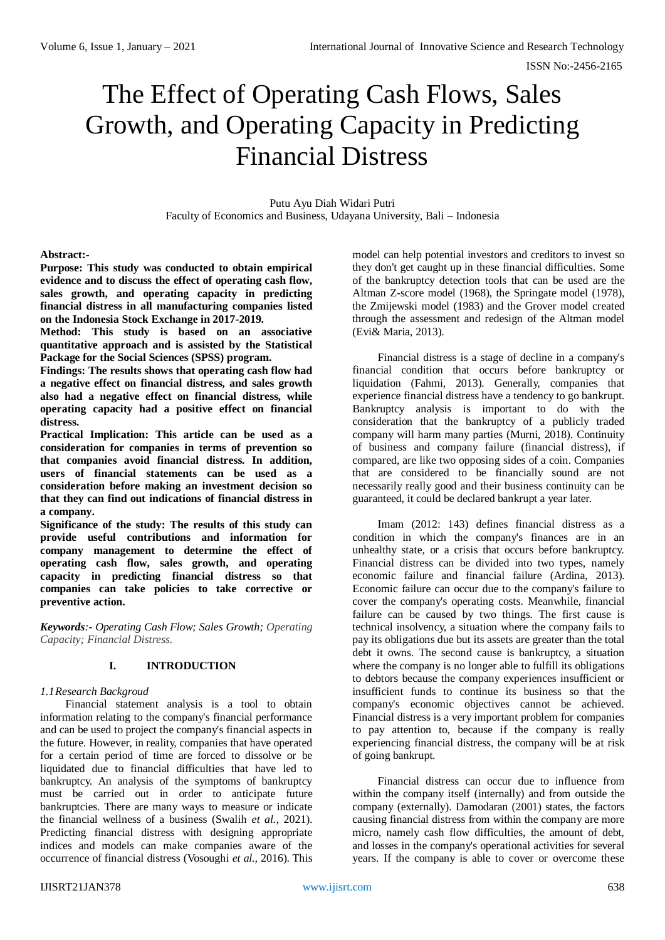# The Effect of Operating Cash Flows, Sales Growth, and Operating Capacity in Predicting Financial Distress

Putu Ayu Diah Widari Putri Faculty of Economics and Business, Udayana University, Bali – Indonesia

#### **Abstract:-**

**Purpose: This study was conducted to obtain empirical evidence and to discuss the effect of operating cash flow, sales growth, and operating capacity in predicting financial distress in all manufacturing companies listed on the Indonesia Stock Exchange in 2017-2019.**

**Method: This study is based on an associative quantitative approach and is assisted by the Statistical Package for the Social Sciences (SPSS) program.**

**Findings: The results shows that operating cash flow had a negative effect on financial distress, and sales growth also had a negative effect on financial distress, while operating capacity had a positive effect on financial distress.**

**Practical Implication: This article can be used as a consideration for companies in terms of prevention so that companies avoid financial distress. In addition, users of financial statements can be used as a consideration before making an investment decision so that they can find out indications of financial distress in a company.**

**Significance of the study: The results of this study can provide useful contributions and information for company management to determine the effect of operating cash flow, sales growth, and operating capacity in predicting financial distress so that companies can take policies to take corrective or preventive action.**

*Keywords:- Operating Cash Flow; Sales Growth; Operating Capacity; Financial Distress.*

### **I. INTRODUCTION**

#### *1.1Research Backgroud*

Financial statement analysis is a tool to obtain information relating to the company's financial performance and can be used to project the company's financial aspects in the future. However, in reality, companies that have operated for a certain period of time are forced to dissolve or be liquidated due to financial difficulties that have led to bankruptcy. An analysis of the symptoms of bankruptcy must be carried out in order to anticipate future bankruptcies. There are many ways to measure or indicate the financial wellness of a business (Swalih *et al.,* 2021). Predicting financial distress with designing appropriate indices and models can make companies aware of the occurrence of financial distress (Vosoughi *et al.,* 2016). This

model can help potential investors and creditors to invest so they don't get caught up in these financial difficulties. Some of the bankruptcy detection tools that can be used are the Altman Z-score model (1968), the Springate model (1978), the Zmijewski model (1983) and the Grover model created through the assessment and redesign of the Altman model (Evi& Maria, 2013).

Financial distress is a stage of decline in a company's financial condition that occurs before bankruptcy or liquidation (Fahmi, 2013). Generally, companies that experience financial distress have a tendency to go bankrupt. Bankruptcy analysis is important to do with the consideration that the bankruptcy of a publicly traded company will harm many parties (Murni, 2018). Continuity of business and company failure (financial distress), if compared, are like two opposing sides of a coin. Companies that are considered to be financially sound are not necessarily really good and their business continuity can be guaranteed, it could be declared bankrupt a year later.

Imam (2012: 143) defines financial distress as a condition in which the company's finances are in an unhealthy state, or a crisis that occurs before bankruptcy. Financial distress can be divided into two types, namely economic failure and financial failure (Ardina, 2013). Economic failure can occur due to the company's failure to cover the company's operating costs. Meanwhile, financial failure can be caused by two things. The first cause is technical insolvency, a situation where the company fails to pay its obligations due but its assets are greater than the total debt it owns. The second cause is bankruptcy, a situation where the company is no longer able to fulfill its obligations to debtors because the company experiences insufficient or insufficient funds to continue its business so that the company's economic objectives cannot be achieved. Financial distress is a very important problem for companies to pay attention to, because if the company is really experiencing financial distress, the company will be at risk of going bankrupt.

Financial distress can occur due to influence from within the company itself (internally) and from outside the company (externally). Damodaran (2001) states, the factors causing financial distress from within the company are more micro, namely cash flow difficulties, the amount of debt, and losses in the company's operational activities for several years. If the company is able to cover or overcome these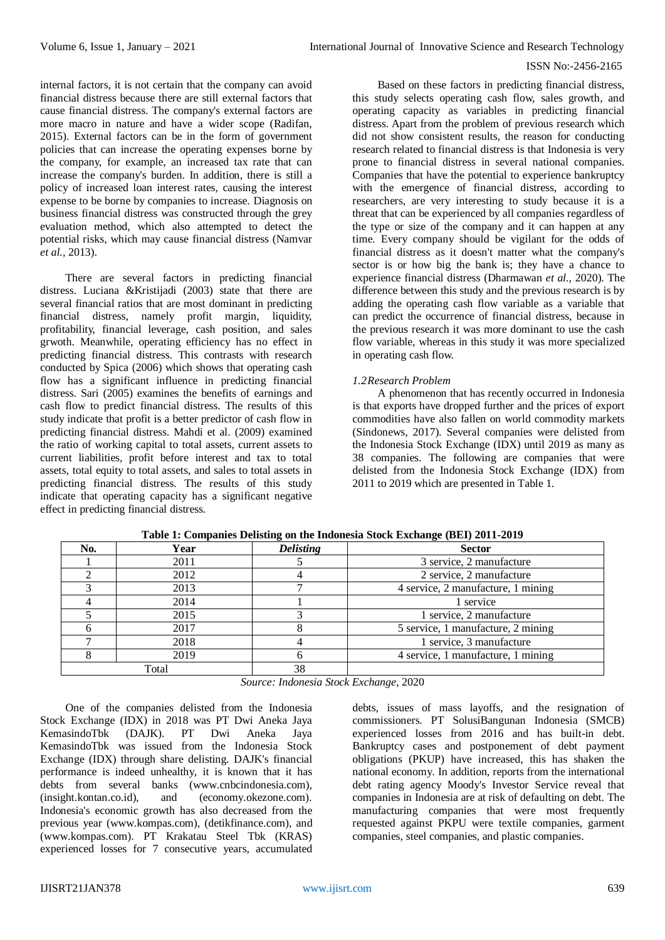internal factors, it is not certain that the company can avoid financial distress because there are still external factors that cause financial distress. The company's external factors are more macro in nature and have a wider scope (Radifan, 2015). External factors can be in the form of government policies that can increase the operating expenses borne by the company, for example, an increased tax rate that can increase the company's burden. In addition, there is still a policy of increased loan interest rates, causing the interest expense to be borne by companies to increase. Diagnosis on business financial distress was constructed through the grey evaluation method, which also attempted to detect the potential risks, which may cause financial distress (Namvar *et al.,* 2013).

There are several factors in predicting financial distress. Luciana &Kristijadi (2003) state that there are several financial ratios that are most dominant in predicting financial distress, namely profit margin, liquidity, profitability, financial leverage, cash position, and sales grwoth. Meanwhile, operating efficiency has no effect in predicting financial distress. This contrasts with research conducted by Spica (2006) which shows that operating cash flow has a significant influence in predicting financial distress. Sari (2005) examines the benefits of earnings and cash flow to predict financial distress. The results of this study indicate that profit is a better predictor of cash flow in predicting financial distress. Mahdi et al. (2009) examined the ratio of working capital to total assets, current assets to current liabilities, profit before interest and tax to total assets, total equity to total assets, and sales to total assets in predicting financial distress. The results of this study indicate that operating capacity has a significant negative effect in predicting financial distress*.* 

Based on these factors in predicting financial distress, this study selects operating cash flow, sales growth, and operating capacity as variables in predicting financial distress. Apart from the problem of previous research which did not show consistent results, the reason for conducting research related to financial distress is that Indonesia is very prone to financial distress in several national companies. Companies that have the potential to experience bankruptcy with the emergence of financial distress, according to researchers, are very interesting to study because it is a threat that can be experienced by all companies regardless of the type or size of the company and it can happen at any time. Every company should be vigilant for the odds of financial distress as it doesn't matter what the company's sector is or how big the bank is; they have a chance to experience financial distress (Dharmawan *et al.,* 2020). The difference between this study and the previous research is by adding the operating cash flow variable as a variable that can predict the occurrence of financial distress, because in the previous research it was more dominant to use the cash flow variable, whereas in this study it was more specialized in operating cash flow.

### *1.2Research Problem*

A phenomenon that has recently occurred in Indonesia is that exports have dropped further and the prices of export commodities have also fallen on world commodity markets (Sindonews, 2017). Several companies were delisted from the Indonesia Stock Exchange (IDX) until 2019 as many as 38 companies. The following are companies that were delisted from the Indonesia Stock Exchange (IDX) from 2011 to 2019 which are presented in Table 1.

| No.   | Year | <b>Delisting</b> | <b>Sector</b>                      |  |
|-------|------|------------------|------------------------------------|--|
|       | 2011 |                  | 3 service, 2 manufacture           |  |
|       | 2012 |                  | 2 service, 2 manufacture           |  |
|       | 2013 |                  | 4 service, 2 manufacture, 1 mining |  |
|       | 2014 |                  | 1 service                          |  |
|       | 2015 |                  | 1 service, 2 manufacture           |  |
|       | 2017 |                  | 5 service, 1 manufacture, 2 mining |  |
|       | 2018 |                  | 1 service, 3 manufacture           |  |
|       | 2019 |                  | 4 service, 1 manufacture, 1 mining |  |
| Total |      | 38               |                                    |  |

**Table 1: Companies Delisting on the Indonesia Stock Exchange (BEI) 2011-2019**

*Source: Indonesia Stock Exchange*, 2020

One of the companies delisted from the Indonesia Stock Exchange (IDX) in 2018 was PT Dwi Aneka Jaya KemasindoTbk (DAJK). PT Dwi Aneka Jaya KemasindoTbk was issued from the Indonesia Stock Exchange (IDX) through share delisting. DAJK's financial performance is indeed unhealthy, it is known that it has debts from several banks (www.cnbcindonesia.com), (insight.kontan.co.id), and (economy.okezone.com). Indonesia's economic growth has also decreased from the previous year (www.kompas.com), (detikfinance.com), and (www.kompas.com). PT Krakatau Steel Tbk (KRAS) experienced losses for 7 consecutive years, accumulated

debts, issues of mass layoffs, and the resignation of commissioners. PT SolusiBangunan Indonesia (SMCB) experienced losses from 2016 and has built-in debt. Bankruptcy cases and postponement of debt payment obligations (PKUP) have increased, this has shaken the national economy. In addition, reports from the international debt rating agency Moody's Investor Service reveal that companies in Indonesia are at risk of defaulting on debt. The manufacturing companies that were most frequently requested against PKPU were textile companies, garment companies, steel companies, and plastic companies.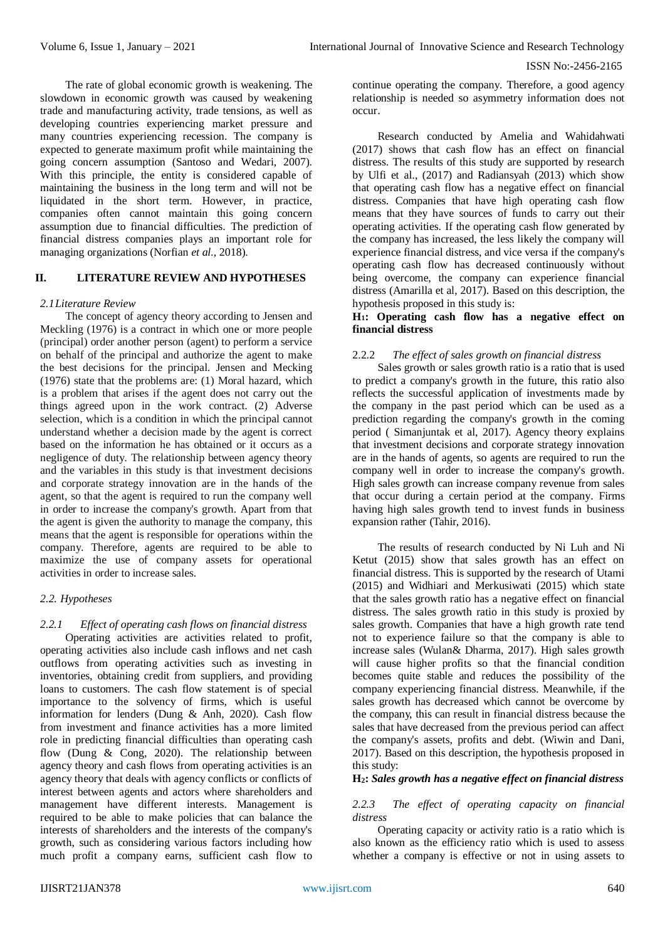The rate of global economic growth is weakening. The slowdown in economic growth was caused by weakening trade and manufacturing activity, trade tensions, as well as developing countries experiencing market pressure and many countries experiencing recession. The company is expected to generate maximum profit while maintaining the going concern assumption (Santoso and Wedari, 2007). With this principle, the entity is considered capable of maintaining the business in the long term and will not be liquidated in the short term. However, in practice, companies often cannot maintain this going concern assumption due to financial difficulties. The prediction of financial distress companies plays an important role for managing organizations (Norfian *et al.,* 2018).

### **II. LITERATURE REVIEW AND HYPOTHESES**

#### *2.1Literature Review*

The concept of agency theory according to Jensen and Meckling (1976) is a contract in which one or more people (principal) order another person (agent) to perform a service on behalf of the principal and authorize the agent to make the best decisions for the principal. Jensen and Mecking (1976) state that the problems are: (1) Moral hazard, which is a problem that arises if the agent does not carry out the things agreed upon in the work contract. (2) Adverse selection, which is a condition in which the principal cannot understand whether a decision made by the agent is correct based on the information he has obtained or it occurs as a negligence of duty. The relationship between agency theory and the variables in this study is that investment decisions and corporate strategy innovation are in the hands of the agent, so that the agent is required to run the company well in order to increase the company's growth. Apart from that the agent is given the authority to manage the company, this means that the agent is responsible for operations within the company. Therefore, agents are required to be able to maximize the use of company assets for operational activities in order to increase sales.

#### *2.2. Hypotheses*

#### *2.2.1 Effect of operating cash flows on financial distress*

Operating activities are activities related to profit, operating activities also include cash inflows and net cash outflows from operating activities such as investing in inventories, obtaining credit from suppliers, and providing loans to customers. The cash flow statement is of special importance to the solvency of firms, which is useful information for lenders (Dung & Anh, 2020). Cash flow from investment and finance activities has a more limited role in predicting financial difficulties than operating cash flow (Dung & Cong, 2020). The relationship between agency theory and cash flows from operating activities is an agency theory that deals with agency conflicts or conflicts of interest between agents and actors where shareholders and management have different interests. Management is required to be able to make policies that can balance the interests of shareholders and the interests of the company's growth, such as considering various factors including how much profit a company earns, sufficient cash flow to

continue operating the company. Therefore, a good agency relationship is needed so asymmetry information does not occur.

Research conducted by Amelia and Wahidahwati (2017) shows that cash flow has an effect on financial distress. The results of this study are supported by research by Ulfi et al., (2017) and Radiansyah (2013) which show that operating cash flow has a negative effect on financial distress. Companies that have high operating cash flow means that they have sources of funds to carry out their operating activities. If the operating cash flow generated by the company has increased, the less likely the company will experience financial distress, and vice versa if the company's operating cash flow has decreased continuously without being overcome, the company can experience financial distress (Amarilla et al, 2017). Based on this description, the hypothesis proposed in this study is:

#### **H1: Operating cash flow has a negative effect on financial distress**

#### 2.2.2 *The effect of sales growth on financial distress*

Sales growth or sales growth ratio is a ratio that is used to predict a company's growth in the future, this ratio also reflects the successful application of investments made by the company in the past period which can be used as a prediction regarding the company's growth in the coming period ( Simanjuntak et al, 2017). Agency theory explains that investment decisions and corporate strategy innovation are in the hands of agents, so agents are required to run the company well in order to increase the company's growth. High sales growth can increase company revenue from sales that occur during a certain period at the company. Firms having high sales growth tend to invest funds in business expansion rather (Tahir, 2016).

The results of research conducted by Ni Luh and Ni Ketut (2015) show that sales growth has an effect on financial distress. This is supported by the research of Utami (2015) and Widhiari and Merkusiwati (2015) which state that the sales growth ratio has a negative effect on financial distress. The sales growth ratio in this study is proxied by sales growth. Companies that have a high growth rate tend not to experience failure so that the company is able to increase sales (Wulan& Dharma, 2017). High sales growth will cause higher profits so that the financial condition becomes quite stable and reduces the possibility of the company experiencing financial distress. Meanwhile, if the sales growth has decreased which cannot be overcome by the company, this can result in financial distress because the sales that have decreased from the previous period can affect the company's assets, profits and debt. (Wiwin and Dani, 2017). Based on this description, the hypothesis proposed in this study:

### **H2:** *Sales growth has a negative effect on financial distress*

#### *2.2.3 The effect of operating capacity on financial distress*

Operating capacity or activity ratio is a ratio which is also known as the efficiency ratio which is used to assess whether a company is effective or not in using assets to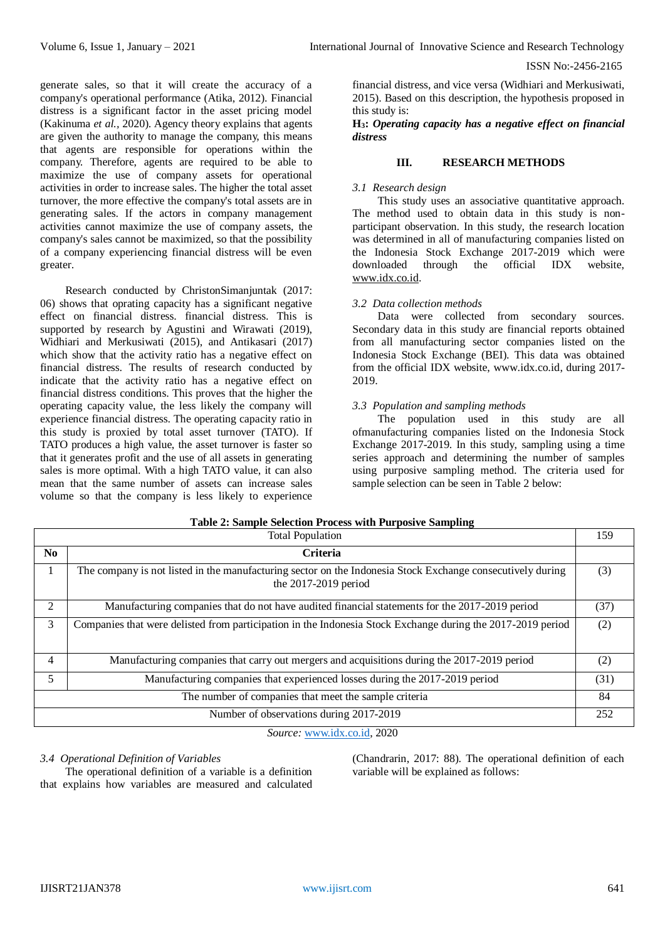greater.

generate sales, so that it will create the accuracy of a company's operational performance (Atika, 2012). Financial distress is a significant factor in the asset pricing model (Kakinuma *et al.,* 2020). Agency theory explains that agents are given the authority to manage the company, this means that agents are responsible for operations within the company. Therefore, agents are required to be able to maximize the use of company assets for operational activities in order to increase sales. The higher the total asset turnover, the more effective the company's total assets are in generating sales. If the actors in company management activities cannot maximize the use of company assets, the company's sales cannot be maximized, so that the possibility of a company experiencing financial distress will be even

Research conducted by ChristonSimanjuntak (2017: 06) shows that oprating capacity has a significant negative effect on financial distress. financial distress. This is supported by research by Agustini and Wirawati (2019), Widhiari and Merkusiwati (2015), and Antikasari (2017) which show that the activity ratio has a negative effect on financial distress. The results of research conducted by indicate that the activity ratio has a negative effect on financial distress conditions. This proves that the higher the operating capacity value, the less likely the company will experience financial distress. The operating capacity ratio in this study is proxied by total asset turnover (TATO). If TATO produces a high value, the asset turnover is faster so that it generates profit and the use of all assets in generating sales is more optimal. With a high TATO value, it can also mean that the same number of assets can increase sales volume so that the company is less likely to experience

ISSN No:-2456-2165

financial distress, and vice versa (Widhiari and Merkusiwati, 2015). Based on this description, the hypothesis proposed in this study is:

#### **H3:** *Operating capacity has a negative effect on financial distress*

#### **III. RESEARCH METHODS**

#### *3.1 Research design*

This study uses an associative quantitative approach. The method used to obtain data in this study is nonparticipant observation. In this study, the research location was determined in all of manufacturing companies listed on the Indonesia Stock Exchange 2017-2019 which were downloaded through the official IDX website, [www.idx.co.id.](http://www.idx.co.id/)

#### *3.2 Data collection methods*

Data were collected from secondary sources. Secondary data in this study are financial reports obtained from all manufacturing sector companies listed on the Indonesia Stock Exchange (BEI). This data was obtained from the official IDX website, www.idx.co.id, during 2017- 2019.

#### *3.3 Population and sampling methods*

The population used in this study are all ofmanufacturing companies listed on the Indonesia Stock Exchange 2017-2019. In this study, sampling using a time series approach and determining the number of samples using purposive sampling method. The criteria used for sample selection can be seen in Table 2 below:

|                                                       | <b>Total Population</b>                                                                                                              | 159  |  |
|-------------------------------------------------------|--------------------------------------------------------------------------------------------------------------------------------------|------|--|
| No.                                                   | Criteria                                                                                                                             |      |  |
|                                                       | The company is not listed in the manufacturing sector on the Indonesia Stock Exchange consecutively during<br>the $2017-2019$ period | (3)  |  |
| 2                                                     | Manufacturing companies that do not have audited financial statements for the 2017-2019 period                                       | (37) |  |
| 3                                                     | Companies that were delisted from participation in the Indonesia Stock Exchange during the 2017-2019 period                          | (2)  |  |
| 4                                                     | Manufacturing companies that carry out mergers and acquisitions during the 2017-2019 period                                          | (2)  |  |
| 5                                                     | Manufacturing companies that experienced losses during the 2017-2019 period                                                          | (31) |  |
| The number of companies that meet the sample criteria |                                                                                                                                      |      |  |
| Number of observations during 2017-2019               |                                                                                                                                      |      |  |

*Source:* [www.idx.co.id,](http://www.idx.co.id/) 2020

#### *3.4 Operational Definition of Variables*

The operational definition of a variable is a definition that explains how variables are measured and calculated (Chandrarin, 2017: 88). The operational definition of each variable will be explained as follows:

## **Table 2: Sample Selection Process with Purposive Sampling**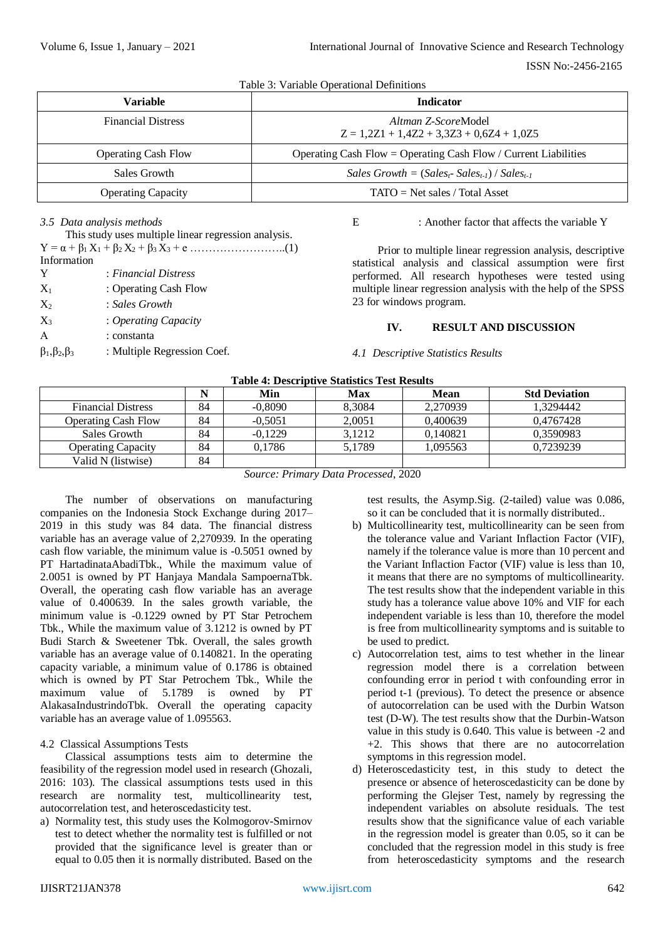Table 3: Variable Operational Definitions

| <b>Variable</b>            | <b>Indicator</b>                                                          |  |
|----------------------------|---------------------------------------------------------------------------|--|
| <b>Financial Distress</b>  | <i>Altman Z-ScoreModel</i><br>$Z = 1,2Z1 + 1,4Z2 + 3,3Z3 + 0,6Z4 + 1,0Z5$ |  |
| <b>Operating Cash Flow</b> | Operating Cash Flow = Operating Cash Flow / Current Liabilities           |  |
| Sales Growth               | Sales Growth = $(Sales_t-Sales_{t-1}) / Sales_{t-1}$                      |  |
| <b>Operating Capacity</b>  | $TATO = Net sales / Total Asset$                                          |  |

#### *3.5 Data analysis methods*

| This study uses multiple linear regression analysis.                 |                             |  |  |  |
|----------------------------------------------------------------------|-----------------------------|--|--|--|
| $Y = \alpha + \beta_1 X_1 + \beta_2 X_2 + \beta_3 X_3 + e \dots$ (1) |                             |  |  |  |
| Information                                                          |                             |  |  |  |
| Y                                                                    | : Financial Distress        |  |  |  |
| $X_1$                                                                | : Operating Cash Flow       |  |  |  |
| $X_2$                                                                | : Sales Growth              |  |  |  |
| $X_3$                                                                | : Operating Capacity        |  |  |  |
| $\mathsf{A}$                                                         | : constanta                 |  |  |  |
| $\beta_1, \beta_2, \beta_3$                                          | : Multiple Regression Coef. |  |  |  |
|                                                                      |                             |  |  |  |

#### E : Another factor that affects the variable Y

Prior to multiple linear regression analysis, descriptive statistical analysis and classical assumption were first performed. All research hypotheses were tested using multiple linear regression analysis with the help of the SPSS 23 for windows program.

#### **IV. RESULT AND DISCUSSION**

#### *4.1 Descriptive Statistics Results*

| Table 4: Descriptive Statistics Test Results |    |           |        |          |                      |
|----------------------------------------------|----|-----------|--------|----------|----------------------|
|                                              |    | Min       | Max    | Mean     | <b>Std Deviation</b> |
| <b>Financial Distress</b>                    | 84 | $-0.8090$ | 8.3084 | 2.270939 | 1.3294442            |
| <b>Operating Cash Flow</b>                   | 84 | $-0,5051$ | 2,0051 | 0,400639 | 0.4767428            |
| Sales Growth                                 | 84 | $-0.1229$ | 3.1212 | 0.140821 | 0,3590983            |
| <b>Operating Capacity</b>                    | 84 | 0.1786    | 5.1789 | 1.095563 | 0.7239239            |
| Valid N (listwise)                           | 84 |           |        |          |                      |

**Table 4: Descriptive Statistics Test Results**

*Source: Primary Data Processed*, 2020

The number of observations on manufacturing companies on the Indonesia Stock Exchange during 2017– 2019 in this study was 84 data. The financial distress variable has an average value of 2,270939. In the operating cash flow variable, the minimum value is -0.5051 owned by PT HartadinataAbadiTbk., While the maximum value of 2.0051 is owned by PT Hanjaya Mandala SampoernaTbk. Overall, the operating cash flow variable has an average value of 0.400639. In the sales growth variable, the minimum value is -0.1229 owned by PT Star Petrochem Tbk., While the maximum value of 3.1212 is owned by PT Budi Starch & Sweetener Tbk. Overall, the sales growth variable has an average value of 0.140821. In the operating capacity variable, a minimum value of 0.1786 is obtained which is owned by PT Star Petrochem Tbk., While the maximum value of 5.1789 is owned by PT AlakasaIndustrindoTbk. Overall the operating capacity variable has an average value of 1.095563.

#### 4.2 Classical Assumptions Tests

Classical assumptions tests aim to determine the feasibility of the regression model used in research (Ghozali, 2016: 103). The classical assumptions tests used in this research are normality test, multicollinearity test, autocorrelation test, and heteroscedasticity test.

a) Normality test, this study uses the Kolmogorov-Smirnov test to detect whether the normality test is fulfilled or not provided that the significance level is greater than or equal to 0.05 then it is normally distributed. Based on the test results, the Asymp.Sig. (2-tailed) value was 0.086, so it can be concluded that it is normally distributed..

- b) Multicollinearity test, multicollinearity can be seen from the tolerance value and Variant Inflaction Factor (VIF), namely if the tolerance value is more than 10 percent and the Variant Inflaction Factor (VIF) value is less than 10, it means that there are no symptoms of multicollinearity. The test results show that the independent variable in this study has a tolerance value above 10% and VIF for each independent variable is less than 10, therefore the model is free from multicollinearity symptoms and is suitable to be used to predict.
- c) Autocorrelation test, aims to test whether in the linear regression model there is a correlation between confounding error in period t with confounding error in period t-1 (previous). To detect the presence or absence of autocorrelation can be used with the Durbin Watson test (D-W). The test results show that the Durbin-Watson value in this study is 0.640. This value is between -2 and +2. This shows that there are no autocorrelation symptoms in this regression model.
- d) Heteroscedasticity test, in this study to detect the presence or absence of heteroscedasticity can be done by performing the Glejser Test, namely by regressing the independent variables on absolute residuals. The test results show that the significance value of each variable in the regression model is greater than 0.05, so it can be concluded that the regression model in this study is free from heteroscedasticity symptoms and the research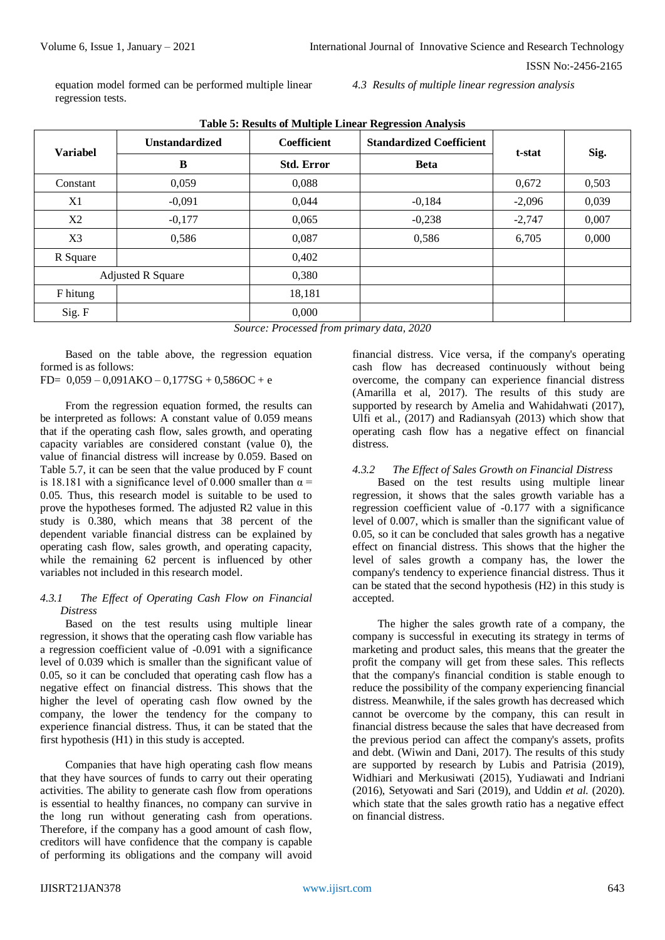equation model formed can be performed multiple linear regression tests.

*4.3 Results of multiple linear regression analysis*

| <b>Variabel</b>          | <b>Unstandardized</b> | <b>Coefficient</b> | <b>Standardized Coefficient</b> | t-stat   | Sig.  |
|--------------------------|-----------------------|--------------------|---------------------------------|----------|-------|
|                          | B                     | <b>Std. Error</b>  | <b>Beta</b>                     |          |       |
| Constant                 | 0,059                 | 0,088              |                                 | 0,672    | 0,503 |
| X1                       | $-0,091$              | 0,044              | $-0,184$                        | $-2,096$ | 0,039 |
| X2                       | $-0,177$              | 0,065              | $-0,238$                        | $-2,747$ | 0,007 |
| X <sub>3</sub>           | 0,586                 | 0,087              | 0,586                           | 6,705    | 0,000 |
| R Square                 |                       | 0,402              |                                 |          |       |
| <b>Adjusted R Square</b> |                       | 0,380              |                                 |          |       |
| F hitung                 |                       | 18,181             |                                 |          |       |
| Sig. F                   |                       | 0,000              |                                 |          |       |

**Table 5: Results of Multiple Linear Regression Analysis**

*Source: Processed from primary data, 2020*

Based on the table above, the regression equation formed is as follows:

 $FD = 0,059 - 0,091AKO - 0,177SG + 0,586OC + e$ 

From the regression equation formed, the results can be interpreted as follows: A constant value of 0.059 means that if the operating cash flow, sales growth, and operating capacity variables are considered constant (value 0), the value of financial distress will increase by 0.059. Based on Table 5.7, it can be seen that the value produced by F count is 18.181 with a significance level of 0.000 smaller than  $\alpha$  = 0.05. Thus, this research model is suitable to be used to prove the hypotheses formed. The adjusted R2 value in this study is 0.380, which means that 38 percent of the dependent variable financial distress can be explained by operating cash flow, sales growth, and operating capacity, while the remaining 62 percent is influenced by other variables not included in this research model.

#### *4.3.1 The Effect of Operating Cash Flow on Financial Distress*

Based on the test results using multiple linear regression, it shows that the operating cash flow variable has a regression coefficient value of -0.091 with a significance level of 0.039 which is smaller than the significant value of 0.05, so it can be concluded that operating cash flow has a negative effect on financial distress. This shows that the higher the level of operating cash flow owned by the company, the lower the tendency for the company to experience financial distress. Thus, it can be stated that the first hypothesis (H1) in this study is accepted.

Companies that have high operating cash flow means that they have sources of funds to carry out their operating activities. The ability to generate cash flow from operations is essential to healthy finances, no company can survive in the long run without generating cash from operations. Therefore, if the company has a good amount of cash flow, creditors will have confidence that the company is capable of performing its obligations and the company will avoid

financial distress. Vice versa, if the company's operating cash flow has decreased continuously without being overcome, the company can experience financial distress (Amarilla et al, 2017). The results of this study are supported by research by Amelia and Wahidahwati (2017), Ulfi et al., (2017) and Radiansyah (2013) which show that operating cash flow has a negative effect on financial distress.

#### *4.3.2 The Effect of Sales Growth on Financial Distress*

Based on the test results using multiple linear regression, it shows that the sales growth variable has a regression coefficient value of -0.177 with a significance level of 0.007, which is smaller than the significant value of 0.05, so it can be concluded that sales growth has a negative effect on financial distress. This shows that the higher the level of sales growth a company has, the lower the company's tendency to experience financial distress. Thus it can be stated that the second hypothesis (H2) in this study is accepted.

The higher the sales growth rate of a company, the company is successful in executing its strategy in terms of marketing and product sales, this means that the greater the profit the company will get from these sales. This reflects that the company's financial condition is stable enough to reduce the possibility of the company experiencing financial distress. Meanwhile, if the sales growth has decreased which cannot be overcome by the company, this can result in financial distress because the sales that have decreased from the previous period can affect the company's assets, profits and debt. (Wiwin and Dani, 2017). The results of this study are supported by research by Lubis and Patrisia (2019), Widhiari and Merkusiwati (2015), Yudiawati and Indriani (2016), Setyowati and Sari (2019), and Uddin *et al.* (2020). which state that the sales growth ratio has a negative effect on financial distress.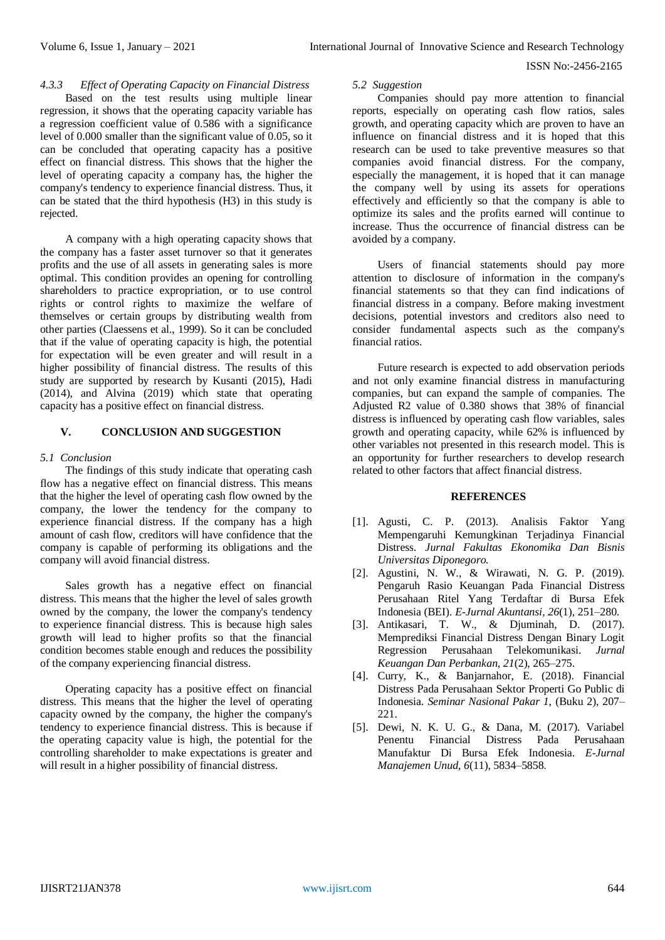#### *4.3.3 Effect of Operating Capacity on Financial Distress* Based on the test results using multiple linear regression, it shows that the operating capacity variable has a regression coefficient value of 0.586 with a significance level of 0.000 smaller than the significant value of 0.05, so it can be concluded that operating capacity has a positive effect on financial distress. This shows that the higher the level of operating capacity a company has, the higher the company's tendency to experience financial distress. Thus, it can be stated that the third hypothesis (H3) in this study is rejected.

A company with a high operating capacity shows that the company has a faster asset turnover so that it generates profits and the use of all assets in generating sales is more optimal. This condition provides an opening for controlling shareholders to practice expropriation, or to use control rights or control rights to maximize the welfare of themselves or certain groups by distributing wealth from other parties (Claessens et al., 1999). So it can be concluded that if the value of operating capacity is high, the potential for expectation will be even greater and will result in a higher possibility of financial distress. The results of this study are supported by research by Kusanti (2015), Hadi (2014), and Alvina (2019) which state that operating capacity has a positive effect on financial distress.

#### **V. CONCLUSION AND SUGGESTION**

#### *5.1 Conclusion*

The findings of this study indicate that operating cash flow has a negative effect on financial distress. This means that the higher the level of operating cash flow owned by the company, the lower the tendency for the company to experience financial distress. If the company has a high amount of cash flow, creditors will have confidence that the company is capable of performing its obligations and the company will avoid financial distress.

Sales growth has a negative effect on financial distress. This means that the higher the level of sales growth owned by the company, the lower the company's tendency to experience financial distress. This is because high sales growth will lead to higher profits so that the financial condition becomes stable enough and reduces the possibility of the company experiencing financial distress.

Operating capacity has a positive effect on financial distress. This means that the higher the level of operating capacity owned by the company, the higher the company's tendency to experience financial distress. This is because if the operating capacity value is high, the potential for the controlling shareholder to make expectations is greater and will result in a higher possibility of financial distress.

#### *5.2 Suggestion*

Companies should pay more attention to financial reports, especially on operating cash flow ratios, sales growth, and operating capacity which are proven to have an influence on financial distress and it is hoped that this research can be used to take preventive measures so that companies avoid financial distress. For the company, especially the management, it is hoped that it can manage the company well by using its assets for operations effectively and efficiently so that the company is able to optimize its sales and the profits earned will continue to increase. Thus the occurrence of financial distress can be avoided by a company.

Users of financial statements should pay more attention to disclosure of information in the company's financial statements so that they can find indications of financial distress in a company. Before making investment decisions, potential investors and creditors also need to consider fundamental aspects such as the company's financial ratios.

Future research is expected to add observation periods and not only examine financial distress in manufacturing companies, but can expand the sample of companies. The Adjusted R2 value of 0.380 shows that 38% of financial distress is influenced by operating cash flow variables, sales growth and operating capacity, while 62% is influenced by other variables not presented in this research model. This is an opportunity for further researchers to develop research related to other factors that affect financial distress.

#### **REFERENCES**

- [1]. Agusti, C. P. (2013). Analisis Faktor Yang Mempengaruhi Kemungkinan Terjadinya Financial Distress. *Jurnal Fakultas Ekonomika Dan Bisnis Universitas Diponegoro.*
- [2]. Agustini, N. W., & Wirawati, N. G. P. (2019). Pengaruh Rasio Keuangan Pada Financial Distress Perusahaan Ritel Yang Terdaftar di Bursa Efek Indonesia (BEI). *E-Jurnal Akuntansi*, *26*(1), 251–280.
- [3]. Antikasari, T. W., & Djuminah, D. (2017). Memprediksi Financial Distress Dengan Binary Logit Regression Perusahaan Telekomunikasi. *Jurnal Keuangan Dan Perbankan*, *21*(2), 265–275.
- [4]. Curry, K., & Banjarnahor, E. (2018). Financial Distress Pada Perusahaan Sektor Properti Go Public di Indonesia. *Seminar Nasional Pakar 1*, (Buku 2), 207– 221.
- [5]. Dewi, N. K. U. G., & Dana, M. (2017). Variabel Penentu Financial Distress Pada Perusahaan Manufaktur Di Bursa Efek Indonesia. *E-Jurnal Manajemen Unud*, *6*(11), 5834–5858.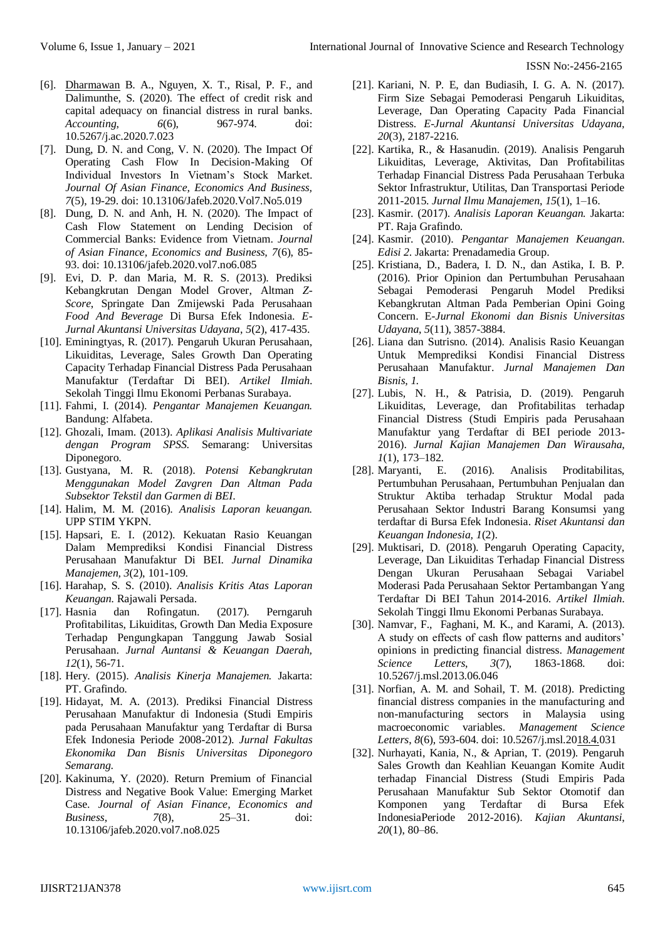- [6]. [Dharmawan](http://growingscience.com/beta/authors/Agung+Dharmawan+Buchdadi/) B. A., [Nguyen,](http://growingscience.com/beta/authors/Xuan+Tho+Nguyen/) X. T., [Risal, P.](http://growingscience.com/beta/authors/Firman+Risal+Putra/) F., and [Dalimunthe,](http://growingscience.com/beta/authors/Sholatia+Dalimunthe/) S. (2020). [The effect of credit risk and](http://growingscience.com/beta/ac/4131-the-effect-of-credit-risk-and-capital-adequacy-on-financial-distress-in-rural-banks.html)  [capital adequacy on financial distress in rural banks.](http://growingscience.com/beta/ac/4131-the-effect-of-credit-risk-and-capital-adequacy-on-financial-distress-in-rural-banks.html) *[Accounting](http://growingscience.com/beta/ac/)*, *6*(6), 967-974. doi: [10.5267/j.ac.2020.7.023](http://dx.doi.org/10.5267/j.ac.2020.7.023)
- [7]. Dung, D. N. and Cong, V. N. (2020). The Impact Of Operating Cash Flow In Decision-Making Of Individual Investors In Vietnam's Stock Market. *Journal Of Asian Finance, Economics And Business, 7*(5), 19-29. doi: 10.13106/Jafeb.2020.Vol7.No5.019
- [8]. Dung, D. N. and Anh, H. N. (2020). The Impact of Cash Flow Statement on Lending Decision of Commercial Banks: Evidence from Vietnam. *Journal of Asian Finance, Economics and Business, 7*(6), 85- 93. doi: 10.13106/jafeb.2020.vol7.no6.085
- [9]. Evi, D. P. dan Maria, M. R. S. (2013). Prediksi Kebangkrutan Dengan Model Grover, Altman *Z-Score*, Springate Dan Zmijewski Pada Perusahaan *Food And Beverage* Di Bursa Efek Indonesia. *E-Jurnal Akuntansi Universitas Udayana*, *5*(2), 417-435.
- [10]. Eminingtyas, R. (2017). Pengaruh Ukuran Perusahaan, Likuiditas, Leverage, Sales Growth Dan Operating Capacity Terhadap Financial Distress Pada Perusahaan Manufaktur (Terdaftar Di BEI). *Artikel Ilmiah*. Sekolah Tinggi Ilmu Ekonomi Perbanas Surabaya.
- [11]. Fahmi, I. (2014). *Pengantar Manajemen Keuangan.*  Bandung: Alfabeta.
- [12]. Ghozali, Imam. (2013). *Aplikasi Analisis Multivariate dengan Program SPSS*. Semarang: Universitas Diponegoro.
- [13]. Gustyana, M. R. (2018). *Potensi Kebangkrutan Menggunakan Model Zavgren Dan Altman Pada Subsektor Tekstil dan Garmen di BEI*.
- [14]. Halim, M. M. (2016). *Analisis Laporan keuangan.*  UPP STIM YKPN.
- [15]. Hapsari, E. I. (2012). Kekuatan Rasio Keuangan Dalam Memprediksi Kondisi Financial Distress Perusahaan Manufaktur Di BEI. *Jurnal Dinamika Manajemen, 3*(2), 101-109.
- [16]. Harahap, S. S. (2010). *Analisis Kritis Atas Laporan Keuangan.* Rajawali Persada.
- [17]. Hasnia dan Rofingatun. (2017). Perngaruh Profitabilitas, Likuiditas, Growth Dan Media Exposure Terhadap Pengungkapan Tanggung Jawab Sosial Perusahaan. *Jurnal Auntansi & Keuangan Daerah, 12*(1), 56-71.
- [18]. Hery. (2015). *Analisis Kinerja Manajemen.* Jakarta: PT. Grafindo.
- [19]. Hidayat, M. A. (2013). Prediksi Financial Distress Perusahaan Manufaktur di Indonesia (Studi Empiris pada Perusahaan Manufaktur yang Terdaftar di Bursa Efek Indonesia Periode 2008-2012). *Jurnal Fakultas Ekonomika Dan Bisnis Universitas Diponegoro Semarang*.
- [20]. Kakinuma, Y. (2020). Return Premium of Financial Distress and Negative Book Value: Emerging Market Case. *Journal of Asian Finance, Economics and Business*, *7*(8), 25–31. doi: 10.13106/jafeb.2020.vol7.no8.025
- [21]. Kariani, N. P. E, dan Budiasih, I. G. A. N. (2017). Firm Size Sebagai Pemoderasi Pengaruh Likuiditas, Leverage, Dan Operating Capacity Pada Financial Distress. *E-Jurnal Akuntansi Universitas Udayana, 20*(3), 2187-2216.
- [22]. Kartika, R., & Hasanudin. (2019). Analisis Pengaruh Likuiditas, Leverage, Aktivitas, Dan Profitabilitas Terhadap Financial Distress Pada Perusahaan Terbuka Sektor Infrastruktur, Utilitas, Dan Transportasi Periode 2011-2015. *Jurnal Ilmu Manajemen*, *15*(1), 1–16.
- [23]. Kasmir. (2017). *Analisis Laporan Keuangan.* Jakarta: PT. Raja Grafindo.
- [24]. Kasmir. (2010). *Pengantar Manajemen Keuangan*. *Edisi 2*. Jakarta: Prenadamedia Group.
- [25]. Kristiana, D., Badera, I. D. N., dan Astika, I. B. P. (2016). Prior Opinion dan Pertumbuhan Perusahaan Sebagai Pemoderasi Pengaruh Model Prediksi Kebangkrutan Altman Pada Pemberian Opini Going Concern. E*-Jurnal Ekonomi dan Bisnis Universitas Udayana*, *5*(11), 3857-3884.
- [26]. Liana dan Sutrisno. (2014). Analisis Rasio Keuangan Untuk Memprediksi Kondisi Financial Distress Perusahaan Manufaktur. *Jurnal Manajemen Dan Bisnis, 1.*
- [27]. Lubis, N. H., & Patrisia, D. (2019). Pengaruh Likuiditas, Leverage, dan Profitabilitas terhadap Financial Distress (Studi Empiris pada Perusahaan Manufaktur yang Terdaftar di BEI periode 2013- 2016). *Jurnal Kajian Manajemen Dan Wirausaha*, *1*(1), 173–182.
- [28]. Maryanti, E. (2016). Analisis Proditabilitas, Pertumbuhan Perusahaan, Pertumbuhan Penjualan dan Struktur Aktiba terhadap Struktur Modal pada Perusahaan Sektor Industri Barang Konsumsi yang terdaftar di Bursa Efek Indonesia. *Riset Akuntansi dan Keuangan Indonesia, 1*(2).
- [29]. Muktisari, D. (2018). Pengaruh Operating Capacity, Leverage, Dan Likuiditas Terhadap Financial Distress Dengan Ukuran Perusahaan Sebagai Variabel Moderasi Pada Perusahaan Sektor Pertambangan Yang Terdaftar Di BEI Tahun 2014-2016. *Artikel Ilmiah*. Sekolah Tinggi Ilmu Ekonomi Perbanas Surabaya.
- [30]. [Namvar,](http://growingscience.com/beta/authors/Fatemeh+Namvar/) F., [Faghani,](http://growingscience.com/beta/authors/Khosro+Faghani+Makrani/) M. K., and [Karami,](http://growingscience.com/beta/authors/Asghar+Karami/) A. (2013). [A study on effects of cash flow patterns and auditors'](http://growingscience.com/beta/msl/967-a-study-on-effects-of-cash-flow-patterns-and-auditors-opinions-in-predicting-financial-distress.html)  [opinions in predicting financial distress.](http://growingscience.com/beta/msl/967-a-study-on-effects-of-cash-flow-patterns-and-auditors-opinions-in-predicting-financial-distress.html) *Management Science Letters*, *3*(7), 1863-1868. doi: 10.5267/j.msl.2013.06.046
- [31]. [Norfian, A.](http://growingscience.com/beta/authors/Mohd+Norfian+Alifiah/) M. and [Sohail, T.](http://growingscience.com/beta/authors/Muhammad+Sohail+Tahir/) M. (2018). Predicting financial distress companies in the manufacturing and non-manufacturing sectors in Malaysia using macroeconomic variables. *Management Science Letters*, *8*(6), 593-604. doi: [10.5267/j.msl.2018.4.031](http://dx.doi.org/10.5267/j.msl.2018.4.031)
- [32]. Nurhayati, Kania, N., & Aprian, T. (2019). Pengaruh Sales Growth dan Keahlian Keuangan Komite Audit terhadap Financial Distress (Studi Empiris Pada Perusahaan Manufaktur Sub Sektor Otomotif dan Komponen yang Terdaftar di Bursa Efek IndonesiaPeriode 2012-2016). *Kajian Akuntansi*, *20*(1), 80–86.